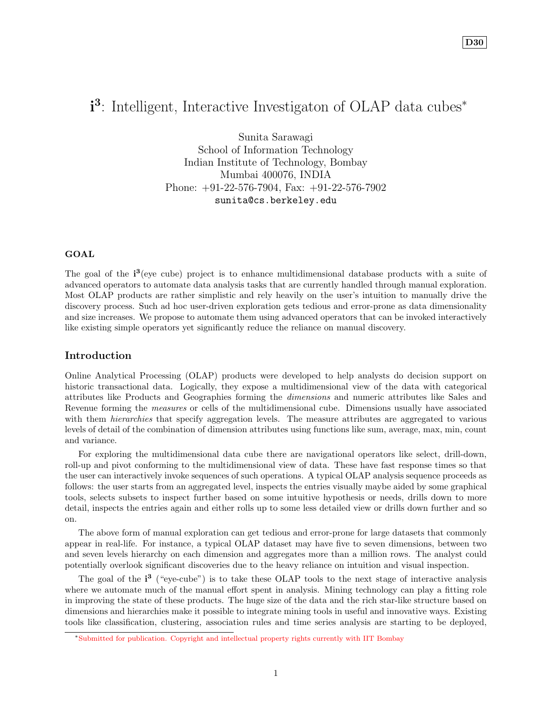# i<sup>3</sup>: Intelligent, Interactive Investigaton of OLAP data cubes<sup>∗</sup>

Sunita Sarawagi School of Information Technology Indian Institute of Technology, Bombay Mumbai 400076, INDIA Phone: +91-22-576-7904, Fax: +91-22-576-7902 sunita@cs.berkeley.edu

### GOAL

The goal of the  $i^3$  (eye cube) project is to enhance multidimensional database products with a suite of advanced operators to automate data analysis tasks that are currently handled through manual exploration. Most OLAP products are rather simplistic and rely heavily on the user's intuition to manually drive the discovery process. Such ad hoc user-driven exploration gets tedious and error-prone as data dimensionality and size increases. We propose to automate them using advanced operators that can be invoked interactively like existing simple operators yet significantly reduce the reliance on manual discovery.

## Introduction

Online Analytical Processing (OLAP) products were developed to help analysts do decision support on historic transactional data. Logically, they expose a multidimensional view of the data with categorical attributes like Products and Geographies forming the dimensions and numeric attributes like Sales and Revenue forming the measures or cells of the multidimensional cube. Dimensions usually have associated with them *hierarchies* that specify aggregation levels. The measure attributes are aggregated to various levels of detail of the combination of dimension attributes using functions like sum, average, max, min, count and variance.

For exploring the multidimensional data cube there are navigational operators like select, drill-down, roll-up and pivot conforming to the multidimensional view of data. These have fast response times so that the user can interactively invoke sequences of such operations. A typical OLAP analysis sequence proceeds as follows: the user starts from an aggregated level, inspects the entries visually maybe aided by some graphical tools, selects subsets to inspect further based on some intuitive hypothesis or needs, drills down to more detail, inspects the entries again and either rolls up to some less detailed view or drills down further and so on.

The above form of manual exploration can get tedious and error-prone for large datasets that commonly appear in real-life. For instance, a typical OLAP dataset may have five to seven dimensions, between two and seven levels hierarchy on each dimension and aggregates more than a million rows. The analyst could potentially overlook significant discoveries due to the heavy reliance on intuition and visual inspection.

The goal of the  $i^3$  ("eye-cube") is to take these OLAP tools to the next stage of interactive analysis where we automate much of the manual effort spent in analysis. Mining technology can play a fitting role in improving the state of these products. The huge size of the data and the rich star-like structure based on dimensions and hierarchies make it possible to integrate mining tools in useful and innovative ways. Existing tools like classification, clustering, association rules and time series analysis are starting to be deployed,

<sup>∗</sup>Submitted for publication. Copyright and intellectual property rights currently with IIT Bombay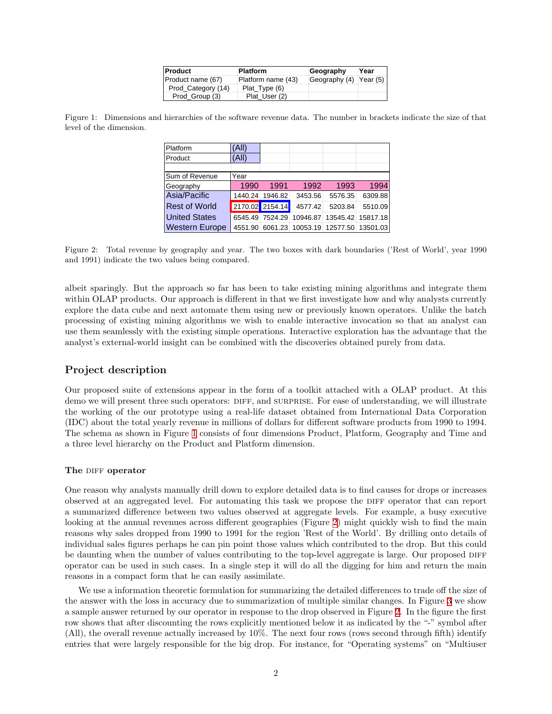| <b>Product</b>     | <b>Platform</b>    | Geography              | Year |
|--------------------|--------------------|------------------------|------|
| Product name (67)  | Platform name (43) | Geography (4) Year (5) |      |
| Prod Category (14) | Plat Type (6)      |                        |      |
| Prod Group (3)     | Plat User (2)      |                        |      |

<span id="page-1-0"></span>Figure 1: Dimensions and hierarchies of the software revenue data. The number in brackets indicate the size of that level of the dimension.

| Platform              | 'All)   |                 |          |          |          |
|-----------------------|---------|-----------------|----------|----------|----------|
| Product               | (All)   |                 |          |          |          |
|                       |         |                 |          |          |          |
| Sum of Revenue        | Year    |                 |          |          |          |
| Geography             | 1990    | 1991            | 1992     | 1993     | 1994     |
| Asia/Pacific          | 1440.24 | 1946.82         | 3453.56  | 5576.35  | 6309.88  |
| <b>Rest of World</b>  |         | 2170.02 2154.14 | 4577.42  | 5203.84  | 5510.09  |
| <b>United States</b>  | 6545.49 | 7524.29         | 10946.87 | 13545.42 | 15817.18 |
| <b>Western Europe</b> | 4551.90 | 6061.23         | 10053.19 | 12577.50 | 13501.03 |

<span id="page-1-1"></span>Figure 2: Total revenue by geography and year. The two boxes with dark boundaries ('Rest of World', year 1990 and 1991) indicate the two values being compared.

albeit sparingly. But the approach so far has been to take existing mining algorithms and integrate them within OLAP products. Our approach is different in that we first investigate how and why analysts currently explore the data cube and next automate them using new or previously known operators. Unlike the batch processing of existing mining algorithms we wish to enable interactive invocation so that an analyst can use them seamlessly with the existing simple operations. Interactive exploration has the advantage that the analyst's external-world insight can be combined with the discoveries obtained purely from data.

## Project description

Our proposed suite of extensions appear in the form of a toolkit attached with a OLAP product. At this demo we will present three such operators: DIFF, and SURPRISE. For ease of understanding, we will illustrate the working of the our prototype using a real-life dataset obtained from International Data Corporation (IDC) about the total yearly revenue in millions of dollars for different software products from 1990 to 1994. The schema as shown in Figure [1](#page-1-0) consists of four dimensions Product, Platform, Geography and Time and a three level hierarchy on the Product and Platform dimension.

#### The DIFF operator

One reason why analysts manually drill down to explore detailed data is to find causes for drops or increases observed at an aggregated level. For automating this task we propose the DIFF operator that can report a summarized difference between two values observed at aggregate levels. For example, a busy executive looking at the annual revenues across different geographies (Figure [2](#page-1-1)) might quickly wish to find the main reasons why sales dropped from 1990 to 1991 for the region 'Rest of the World'. By drilling onto details of individual sales figures perhaps he can pin point those values which contributed to the drop. But this could be daunting when the number of values contributing to the top-level aggregate is large. Our proposed DIFF operator can be used in such cases. In a single step it will do all the digging for him and return the main reasons in a compact form that he can easily assimilate.

We use a information theoretic formulation for summarizing the detailed differences to trade off the size of the answer with the loss in accuracy due to summarization of multiple similar changes. In Figure [3](#page-2-0) we show a sample answer returned by our operator in response to the drop observed in Figure [2.](#page-1-1) In the figure the first row shows that after discounting the rows explicitly mentioned below it as indicated by the "-" symbol after (All), the overall revenue actually increased by 10%. The next four rows (rows second through fifth) identify entries that were largely responsible for the big drop. For instance, for "Operating systems" on "Multiuser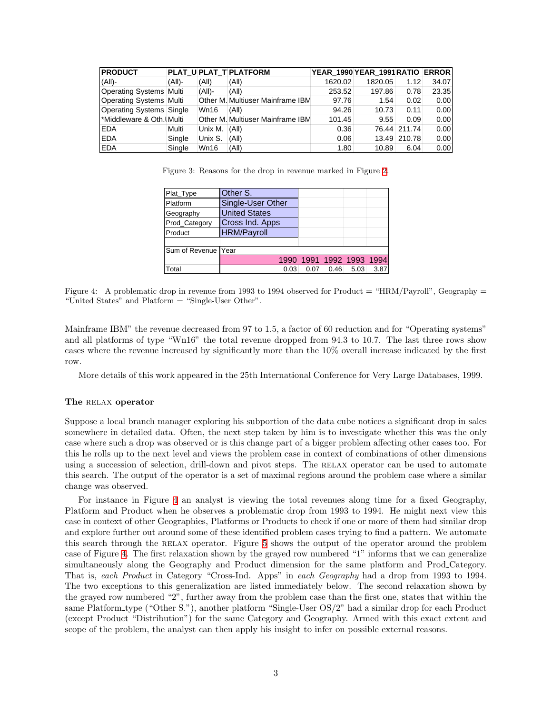| <b>PRODUCT</b>                 |           |             | <b>PLAT UPLAT TIPLATFORM</b>     | YEAR 1990 YEAR 1991 RATIO ERROR |         |              |       |
|--------------------------------|-----------|-------------|----------------------------------|---------------------------------|---------|--------------|-------|
| $(AII)$ -                      | $(A  )$ - | (A  )       | (All)                            | 1620.02                         | 1820.05 | 1.12         | 34.07 |
| <b>Operating Systems Multi</b> |           | (A  )       | (A  )                            | 253.52                          | 197.86  | 0.78         | 23.35 |
| Operating Systems Multi        |           |             | Other M. Multiuser Mainframe IBM | 97.76                           | 1.54    | 0.02         | 0.00  |
| Operating Systems Single       |           | <b>Wn16</b> | (A  )                            | 94.26                           | 10.73   | 0.11         | 0.00  |
| Middleware & Oth. Multi        |           |             | Other M. Multiuser Mainframe IBM | 101.45                          | 9.55    | 0.09         | 0.00  |
| <b>EDA</b>                     | Multi     | Unix M.     | $\vert$ (All)                    | 0.36                            |         | 76.44 211.74 | 0.00  |
| <b>EDA</b>                     | Single    | Unix S.     | (A  )                            | 0.06                            |         | 13.49 210.78 | 0.00  |
| <b>EDA</b>                     | Single    | <b>Wn16</b> | (A  )                            | 1.80                            | 10.89   | 6.04         | 0.00  |

Figure 3: Reasons for the drop in revenue marked in Figure [2](#page-1-1).

<span id="page-2-0"></span>

| Plat_Type           | Other S.             |                          |      |      |      |
|---------------------|----------------------|--------------------------|------|------|------|
| Platform            | Single-User Other    |                          |      |      |      |
| Geography           | <b>United States</b> |                          |      |      |      |
| Prod_Category       | Cross Ind. Apps      |                          |      |      |      |
| Product             | <b>HRM/Payroll</b>   |                          |      |      |      |
|                     |                      |                          |      |      |      |
| Sum of Revenue Year |                      |                          |      |      |      |
|                     |                      | 1990 1991 1992 1993 1994 |      |      |      |
| Total               | 0.03                 | 0.07                     | 0.46 | 5.03 | 3.87 |

<span id="page-2-1"></span>Figure 4: A problematic drop in revenue from 1993 to 1994 observed for Product  $=$  "HRM/Payroll", Geography  $=$ "United States" and Platform = "Single-User Other".

Mainframe IBM" the revenue decreased from 97 to 1.5, a factor of 60 reduction and for "Operating systems" and all platforms of type "Wn16" the total revenue dropped from 94.3 to 10.7. The last three rows show cases where the revenue increased by significantly more than the 10% overall increase indicated by the first row.

More details of this work appeared in the 25th International Conference for Very Large Databases, 1999.

#### The RELAX operator

Suppose a local branch manager exploring his subportion of the data cube notices a significant drop in sales somewhere in detailed data. Often, the next step taken by him is to investigate whether this was the only case where such a drop was observed or is this change part of a bigger problem affecting other cases too. For this he rolls up to the next level and views the problem case in context of combinations of other dimensions using a succession of selection, drill-down and pivot steps. The RELAX operator can be used to automate this search. The output of the operator is a set of maximal regions around the problem case where a similar change was observed.

For instance in Figure [4](#page-2-1) an analyst is viewing the total revenues along time for a fixed Geography, Platform and Product when he observes a problematic drop from 1993 to 1994. He might next view this case in context of other Geographies, Platforms or Products to check if one or more of them had similar drop and explore further out around some of these identified problem cases trying to find a pattern. We automate this search through the relax operator. Figure [5](#page-3-0) shows the output of the operator around the problem case of Figure [4.](#page-2-1) The first relaxation shown by the grayed row numbered "1" informs that we can generalize simultaneously along the Geography and Product dimension for the same platform and Prod Category. That is, each Product in Category "Cross-Ind. Apps" in each Geography had a drop from 1993 to 1994. The two exceptions to this generalization are listed immediately below. The second relaxation shown by the grayed row numbered "2", further away from the problem case than the first one, states that within the same Platform type ("Other S."), another platform "Single-User OS/2" had a similar drop for each Product (except Product "Distribution") for the same Category and Geography. Armed with this exact extent and scope of the problem, the analyst can then apply his insight to infer on possible external reasons.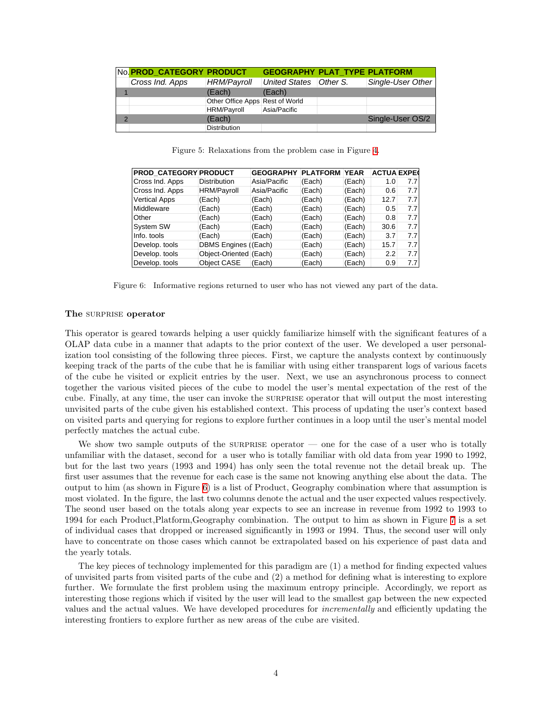|   | No. PROD CATEGORY PRODUCT |                                 | <b>GEOGRAPHY PLAT TYPE PLATFORM</b> |                   |
|---|---------------------------|---------------------------------|-------------------------------------|-------------------|
|   | Cross Ind. Apps           | <b>HRM/Payroll</b>              | United States   Other S.            | Single-User Other |
|   |                           | (Each)                          | (Each)                              |                   |
|   |                           | Other Office Apps Rest of World |                                     |                   |
|   |                           | <b>HRM/Payroll</b>              | Asia/Pacific                        |                   |
| っ |                           | (Each)                          |                                     | Single-User OS/2  |
|   |                           | <b>Distribution</b>             |                                     |                   |

<span id="page-3-0"></span>Figure 5: Relaxations from the problem case in Figure [4.](#page-2-1)

| PROD_CATEGORY PRODUCT |                        | <b>GEOGRAPHY</b> | <b>PLATFORM YEAR</b> |        | <b>ACTUA EXPEC</b> |     |
|-----------------------|------------------------|------------------|----------------------|--------|--------------------|-----|
| Cross Ind. Apps       | <b>Distribution</b>    | Asia/Pacific     | (Each)               | (Each) | 1.0                | 7.7 |
| Cross Ind. Apps       | <b>HRM/Payroll</b>     | Asia/Pacific     | (Each)               | (Each) | 0.6                | 7.7 |
| <b>Vertical Apps</b>  | (Each)                 | (Each)           | (Each)               | (Each) | 12.7               | 7.7 |
| Middleware            | (Each)                 | (Each)           | (Each)               | (Each) | 0.5                | 7.7 |
| Other                 | 'Each)                 | (Each)           | (Each)               | (Each) | 0.8                | 7.7 |
| <b>System SW</b>      | (Each)                 | (Each)           | (Each)               | (Each) | 30.6               | 7.7 |
| Info. tools           | (Each)                 | (Each)           | (Each)               | (Each) | 3.7                | 7.7 |
| Develop. tools        | DBMS Engines           | (Each)           | (Each)               | (Each) | 15.7               | 7.7 |
| Develop. tools        | Object-Oriented (Each) |                  | (Each)               | (Each) | 2.2                | 7.7 |
| Develop. tools        | Object CASE            | (Each)           | (Each)               | (Each) | 0.9                | 7.7 |

<span id="page-3-1"></span>Figure 6: Informative regions returned to user who has not viewed any part of the data.

#### The SURPRISE operator

This operator is geared towards helping a user quickly familiarize himself with the significant features of a OLAP data cube in a manner that adapts to the prior context of the user. We developed a user personalization tool consisting of the following three pieces. First, we capture the analysts context by continuously keeping track of the parts of the cube that he is familiar with using either transparent logs of various facets of the cube he visited or explicit entries by the user. Next, we use an asynchronous process to connect together the various visited pieces of the cube to model the user's mental expectation of the rest of the cube. Finally, at any time, the user can invoke the surprise operator that will output the most interesting unvisited parts of the cube given his established context. This process of updating the user's context based on visited parts and querying for regions to explore further continues in a loop until the user's mental model perfectly matches the actual cube.

We show two sample outputs of the surprise operator — one for the case of a user who is totally unfamiliar with the dataset, second for a user who is totally familiar with old data from year 1990 to 1992, but for the last two years (1993 and 1994) has only seen the total revenue not the detail break up. The first user assumes that the revenue for each case is the same not knowing anything else about the data. The output to him (as shown in Figure [6\)](#page-3-1) is a list of Product, Geography combination where that assumption is most violated. In the figure, the last two columns denote the actual and the user expected values respectively. The seond user based on the totals along year expects to see an increase in revenue from 1992 to 1993 to 1994 for each Product,Platform,Geography combination. The output to him as shown in Figure [7](#page-4-0) is a set of individual cases that dropped or increased significantly in 1993 or 1994. Thus, the second user will only have to concentrate on those cases which cannot be extrapolated based on his experience of past data and the yearly totals.

The key pieces of technology implemented for this paradigm are (1) a method for finding expected values of unvisited parts from visited parts of the cube and (2) a method for defining what is interesting to explore further. We formulate the first problem using the maximum entropy principle. Accordingly, we report as interesting those regions which if visited by the user will lead to the smallest gap between the new expected values and the actual values. We have developed procedures for incrementally and efficiently updating the interesting frontiers to explore further as new areas of the cube are visited.